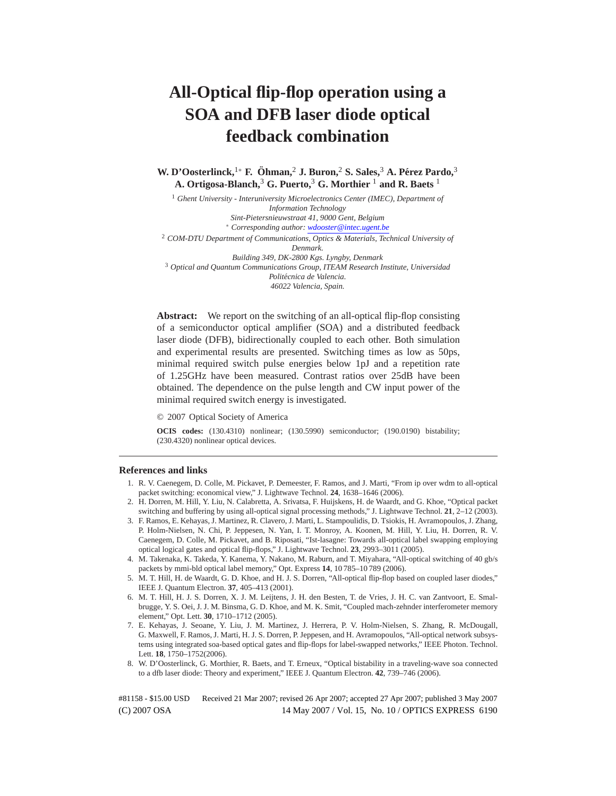# **All-Optical flip-flop operation using a SOA and DFB laser diode optical feedback combination**

**W. D'Oosterlinck,**1<sup>∗</sup> **F. Ohman, ¨** <sup>2</sup> **J. Buron,**<sup>2</sup> **S. Sales,**<sup>3</sup> **A. Perez Pardo, ´** 3 **A. Ortigosa-Blanch,**<sup>3</sup> **G. Puerto,**<sup>3</sup> **G. Morthier** <sup>1</sup> **and R. Baets** <sup>1</sup>

<sup>1</sup> *Ghent University - Interuniversity Microelectronics Center (IMEC), Department of Information Technology Sint-Pietersnieuwstraat 41, 9000 Gent, Belgium* <sup>∗</sup> *Corresponding author: wdooster@intec.ugent.be* <sup>2</sup> *COM-DTU Department of Communications, Optics & Materials, Technical University of Denmark. Building 349, DK-2800 Kgs. Lyngby, Denmark* <sup>3</sup> *Optical and Quantum Communications Group, ITEAM Research Institute, Universidad Politecnica de Valencia. ´ 46022 Valencia, Spain.*

Abstract: We report on the switching of an all-optical flip-flop consisting of a semiconductor optical amplifier (SOA) and a distributed feedback laser diode (DFB), bidirectionally coupled to each other. Both simulation and experimental results are presented. Switching times as low as 50ps, minimal required switch pulse energies below 1pJ and a repetition rate of 1.25GHz have been measured. Contrast ratios over 25dB have been obtained. The dependence on the pulse length and CW input power of the minimal required switch energy is investigated.

© 2007 Optical Society of America

**OCIS codes:** (130.4310) nonlinear; (130.5990) semiconductor; (190.0190) bistability; (230.4320) nonlinear optical devices.

### **References and links**

- 1. R. V. Caenegem, D. Colle, M. Pickavet, P. Demeester, F. Ramos, and J. Marti, "From ip over wdm to all-optical packet switching: economical view," J. Lightwave Technol. **24**, 1638–1646 (2006).
- 2. H. Dorren, M. Hill, Y. Liu, N. Calabretta, A. Srivatsa, F. Huijskens, H. de Waardt, and G. Khoe, "Optical packet switching and buffering by using all-optical signal processing methods," J. Lightwave Technol. **21**, 2–12 (2003).
- 3. F. Ramos, E. Kehayas, J. Martinez, R. Clavero, J. Marti, L. Stampoulidis, D. Tsiokis, H. Avramopoulos, J. Zhang, P. Holm-Nielsen, N. Chi, P. Jeppesen, N. Yan, I. T. Monroy, A. Koonen, M. Hill, Y. Liu, H. Dorren, R. V. Caenegem, D. Colle, M. Pickavet, and B. Riposati, "Ist-lasagne: Towards all-optical label swapping employing optical logical gates and optical flip-flops," J. Lightwave Technol. **23**, 2993–3011 (2005).
- 4. M. Takenaka, K. Takeda, Y. Kanema, Y. Nakano, M. Raburn, and T. Miyahara, "All-optical switching of 40 gb/s packets by mmi-bld optical label memory," Opt. Express **14**, 10 785–10 789 (2006).
- 5. M. T. Hill, H. de Waardt, G. D. Khoe, and H. J. S. Dorren, "All-optical flip-flop based on coupled laser diodes," IEEE J. Quantum Electron. **37**, 405–413 (2001).
- 6. M. T. Hill, H. J. S. Dorren, X. J. M. Leijtens, J. H. den Besten, T. de Vries, J. H. C. van Zantvoort, E. Smalbrugge, Y. S. Oei, J. J. M. Binsma, G. D. Khoe, and M. K. Smit, "Coupled mach-zehnder interferometer memory element," Opt. Lett. **30**, 1710–1712 (2005).
- 7. E. Kehayas, J. Seoane, Y. Liu, J. M. Martinez, J. Herrera, P. V. Holm-Nielsen, S. Zhang, R. McDougall, G. Maxwell, F. Ramos, J. Marti, H. J. S. Dorren, P. Jeppesen, and H. Avramopoulos, "All-optical network subsystems using integrated soa-based optical gates and flip-flops for label-swapped networks," IEEE Photon. Technol. Lett. **18**, 1750–1752(2006).
- 8. W. D'Oosterlinck, G. Morthier, R. Baets, and T. Erneux, "Optical bistability in a traveling-wave soa connected to a dfb laser diode: Theory and experiment," IEEE J. Quantum Electron. **42**, 739–746 (2006).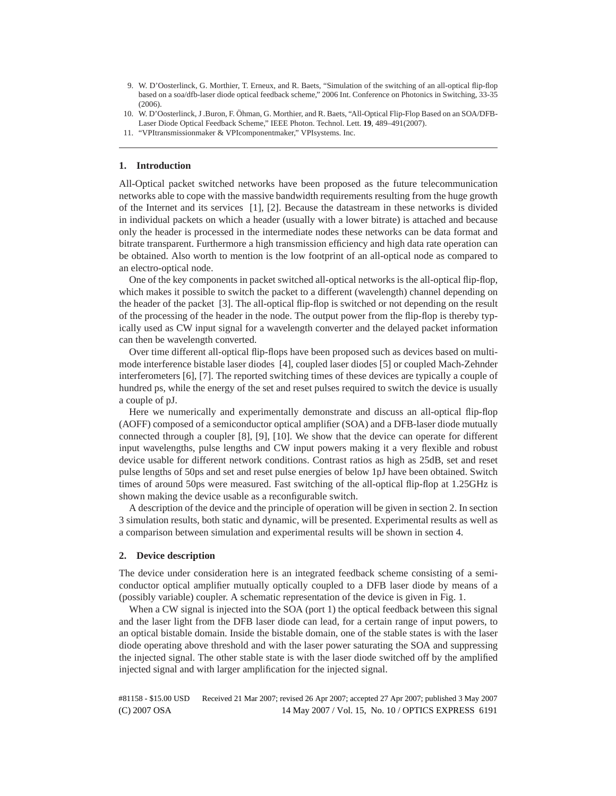- 9. W. D'Oosterlinck, G. Morthier, T. Erneux, and R. Baets, "Simulation of the switching of an all-optical flip-flop based on a soa/dfb-laser diode optical feedback scheme," 2006 Int. Conference on Photonics in Switching, 33-35  $(2006)$ .
- 10. W. D'Oosterlinck, J .Buron, F. Öhman, G. Morthier, and R. Baets, "All-Optical Flip-Flop Based on an SOA/DFB-Laser Diode Optical Feedback Scheme," IEEE Photon. Technol. Lett. **19**, 489–491(2007).
- 11. "VPItransmissionmaker & VPIcomponentmaker," VPIsystems. Inc.

# **1. Introduction**

All-Optical packet switched networks have been proposed as the future telecommunication networks able to cope with the massive bandwidth requirements resulting from the huge growth of the Internet and its services [1], [2]. Because the datastream in these networks is divided in individual packets on which a header (usually with a lower bitrate) is attached and because only the header is processed in the intermediate nodes these networks can be data format and bitrate transparent. Furthermore a high transmission efficiency and high data rate operation can be obtained. Also worth to mention is the low footprint of an all-optical node as compared to an electro-optical node.

One of the key components in packet switched all-optical networks is the all-optical flip-flop, which makes it possible to switch the packet to a different (wavelength) channel depending on the header of the packet [3]. The all-optical flip-flop is switched or not depending on the result of the processing of the header in the node. The output power from the flip-flop is thereby typically used as CW input signal for a wavelength converter and the delayed packet information can then be wavelength converted.

Over time different all-optical flip-flops have been proposed such as devices based on multimode interference bistable laser diodes [4], coupled laser diodes [5] or coupled Mach-Zehnder interferometers [6], [7]. The reported switching times of these devices are typically a couple of hundred ps, while the energy of the set and reset pulses required to switch the device is usually a couple of pJ.

Here we numerically and experimentally demonstrate and discuss an all-optical flip-flop (AOFF) composed of a semiconductor optical amplifier (SOA) and a DFB-laser diode mutually connected through a coupler [8], [9], [10]. We show that the device can operate for different input wavelengths, pulse lengths and CW input powers making it a very flexible and robust device usable for different network conditions. Contrast ratios as high as 25dB, set and reset pulse lengths of 50ps and set and reset pulse energies of below 1pJ have been obtained. Switch times of around 50ps were measured. Fast switching of the all-optical flip-flop at 1.25GHz is shown making the device usable as a reconfigurable switch.

A description of the device and the principle of operation will be given in section 2. In section 3 simulation results, both static and dynamic, will be presented. Experimental results as well as a comparison between simulation and experimental results will be shown in section 4.

#### **2. Device description**

The device under consideration here is an integrated feedback scheme consisting of a semiconductor optical amplifier mutually optically coupled to a DFB laser diode by means of a (possibly variable) coupler. A schematic representation of the device is given in Fig. 1.

When a CW signal is injected into the SOA (port 1) the optical feedback between this signal and the laser light from the DFB laser diode can lead, for a certain range of input powers, to an optical bistable domain. Inside the bistable domain, one of the stable states is with the laser diode operating above threshold and with the laser power saturating the SOA and suppressing the injected signal. The other stable state is with the laser diode switched off by the amplified injected signal and with larger amplification for the injected signal.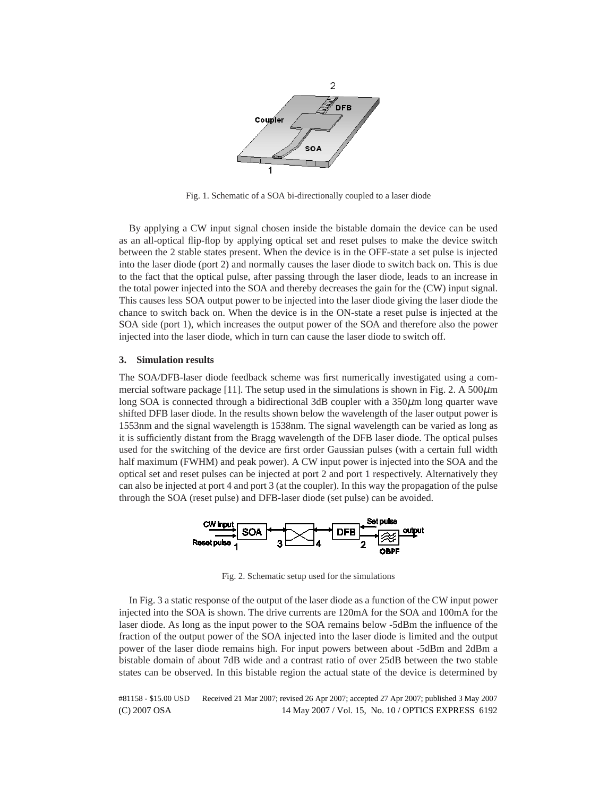

Fig. 1. Schematic of a SOA bi-directionally coupled to a laser diode

By applying a CW input signal chosen inside the bistable domain the device can be used as an all-optical flip-flop by applying optical set and reset pulses to make the device switch between the 2 stable states present. When the device is in the OFF-state a set pulse is injected into the laser diode (port 2) and normally causes the laser diode to switch back on. This is due to the fact that the optical pulse, after passing through the laser diode, leads to an increase in the total power injected into the SOA and thereby decreases the gain for the (CW) input signal. This causes less SOA output power to be injected into the laser diode giving the laser diode the chance to switch back on. When the device is in the ON-state a reset pulse is injected at the SOA side (port 1), which increases the output power of the SOA and therefore also the power injected into the laser diode, which in turn can cause the laser diode to switch off.

#### **3. Simulation results**

The SOA/DFB-laser diode feedback scheme was first numerically investigated using a commercial software package [11]. The setup used in the simulations is shown in Fig. 2. A  $500\mu m$ long SOA is connected through a bidirectional 3dB coupler with a  $350\mu$ m long quarter wave shifted DFB laser diode. In the results shown below the wavelength of the laser output power is 1553nm and the signal wavelength is 1538nm. The signal wavelength can be varied as long as it is sufficiently distant from the Bragg wavelength of the DFB laser diode. The optical pulses used for the switching of the device are first order Gaussian pulses (with a certain full width half maximum (FWHM) and peak power). A CW input power is injected into the SOA and the optical set and reset pulses can be injected at port 2 and port 1 respectively. Alternatively they can also be injected at port 4 and port 3 (at the coupler). In this way the propagation of the pulse through the SOA (reset pulse) and DFB-laser diode (set pulse) can be avoided.



Fig. 2. Schematic setup used for the simulations

In Fig. 3 a static response of the output of the laser diode as a function of the CW input power injected into the SOA is shown. The drive currents are 120mA for the SOA and 100mA for the laser diode. As long as the input power to the SOA remains below -5dBm the influence of the fraction of the output power of the SOA injected into the laser diode is limited and the output power of the laser diode remains high. For input powers between about -5dBm and 2dBm a bistable domain of about 7dB wide and a contrast ratio of over 25dB between the two stable states can be observed. In this bistable region the actual state of the device is determined by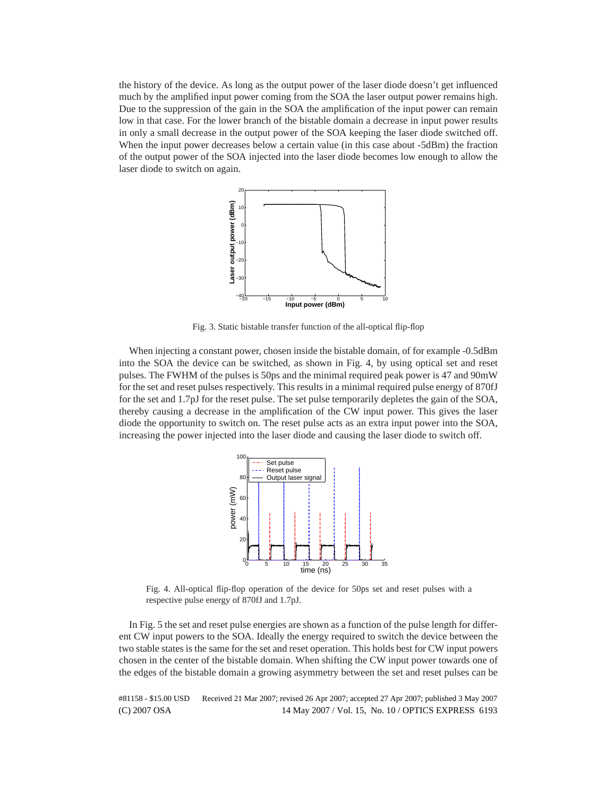the history of the device. As long as the output power of the laser diode doesn't get influenced much by the amplified input power coming from the SOA the laser output power remains high. Due to the suppression of the gain in the SOA the amplification of the input power can remain low in that case. For the lower branch of the bistable domain a decrease in input power results in only a small decrease in the output power of the SOA keeping the laser diode switched off. When the input power decreases below a certain value (in this case about -5dBm) the fraction of the output power of the SOA injected into the laser diode becomes low enough to allow the laser diode to switch on again.



Fig. 3. Static bistable transfer function of the all-optical flip-flop

When injecting a constant power, chosen inside the bistable domain, of for example -0.5dBm into the SOA the device can be switched, as shown in Fig. 4, by using optical set and reset pulses. The FWHM of the pulses is 50ps and the minimal required peak power is 47 and 90mW for the set and reset pulses respectively. This results in a minimal required pulse energy of 870fJ for the set and 1.7pJ for the reset pulse. The set pulse temporarily depletes the gain of the SOA, thereby causing a decrease in the amplification of the CW input power. This gives the laser diode the opportunity to switch on. The reset pulse acts as an extra input power into the SOA, increasing the power injected into the laser diode and causing the laser diode to switch off.



Fig. 4. All-optical flip-flop operation of the device for 50ps set and reset pulses with a respective pulse energy of 870fJ and 1.7pJ.

In Fig. 5 the set and reset pulse energies are shown as a function of the pulse length for different CW input powers to the SOA. Ideally the energy required to switch the device between the two stable states is the same for the set and reset operation. This holds best for CW input powers chosen in the center of the bistable domain. When shifting the CW input power towards one of the edges of the bistable domain a growing asymmetry between the set and reset pulses can be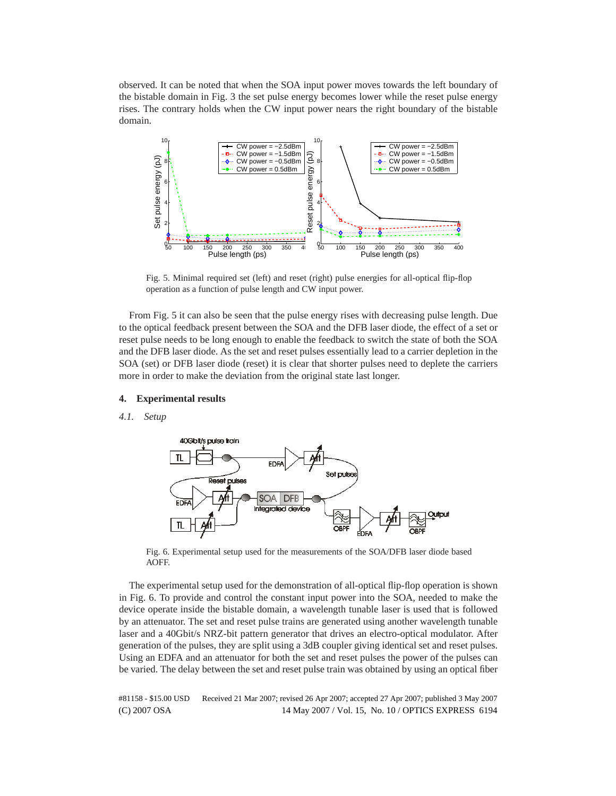observed. It can be noted that when the SOA input power moves towards the left boundary of the bistable domain in Fig. 3 the set pulse energy becomes lower while the reset pulse energy rises. The contrary holds when the CW input power nears the right boundary of the bistable domain.



Fig. 5. Minimal required set (left) and reset (right) pulse energies for all-optical flip-flop operation as a function of pulse length and CW input power.

From Fig. 5 it can also be seen that the pulse energy rises with decreasing pulse length. Due to the optical feedback present between the SOA and the DFB laser diode, the effect of a set or reset pulse needs to be long enough to enable the feedback to switch the state of both the SOA and the DFB laser diode. As the set and reset pulses essentially lead to a carrier depletion in the SOA (set) or DFB laser diode (reset) it is clear that shorter pulses need to deplete the carriers more in order to make the deviation from the original state last longer.

# **4. Experimental results**

#### *4.1. Setup*



Fig. 6. Experimental setup used for the measurements of the SOA/DFB laser diode based **AOFF.** 

The experimental setup used for the demonstration of all-optical flip-flop operation is shown in Fig. 6. To provide and control the constant input power into the SOA, needed to make the device operate inside the bistable domain, a wavelength tunable laser is used that is followed by an attenuator. The set and reset pulse trains are generated using another wavelength tunable laser and a 40Gbit/s NRZ-bit pattern generator that drives an electro-optical modulator. After generation of the pulses, they are split using a 3dB coupler giving identical set and reset pulses. Using an EDFA and an attenuator for both the set and reset pulses the power of the pulses can be varied. The delay between the set and reset pulse train was obtained by using an optical fiber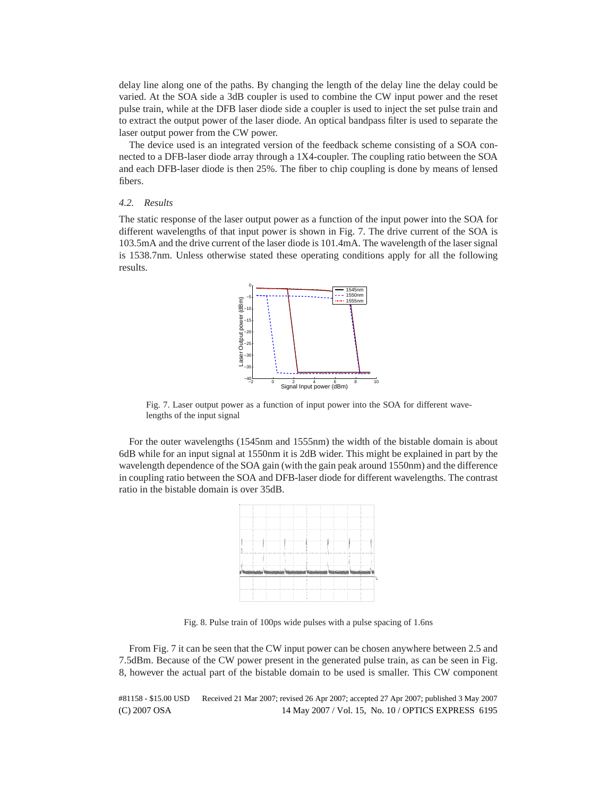delay line along one of the paths. By changing the length of the delay line the delay could be varied. At the SOA side a 3dB coupler is used to combine the CW input power and the reset pulse train, while at the DFB laser diode side a coupler is used to inject the set pulse train and to extract the output power of the laser diode. An optical bandpass filter is used to separate the laser output power from the CW power.

The device used is an integrated version of the feedback scheme consisting of a SOA connected to a DFB-laser diode array through a 1X4-coupler. The coupling ratio between the SOA and each DFB-laser diode is then 25%. The fiber to chip coupling is done by means of lensed fibers.

# *4.2. Results*

The static response of the laser output power as a function of the input power into the SOA for different wavelengths of that input power is shown in Fig. 7. The drive current of the SOA is 103.5mA and the drive current of the laser diode is 101.4mA. The wavelength of the laser signal is 1538.7nm. Unless otherwise stated these operating conditions apply for all the following results.



Fig. 7. Laser output power as a function of input power into the SOA for different wavelengths of the input signal

For the outer wavelengths (1545nm and 1555nm) the width of the bistable domain is about 6dB while for an input signal at 1550nm it is 2dB wider. This might be explained in part by the wavelength dependence of the SOA gain (with the gain peak around 1550nm) and the difference in coupling ratio between the SOA and DFB-laser diode for different wavelengths. The contrast ratio in the bistable domain is over 35dB.



Fig. 8. Pulse train of 100ps wide pulses with a pulse spacing of 1.6ns

From Fig. 7 it can be seen that the CW input power can be chosen anywhere between 2.5 and 7.5dBm. Because of the CW power present in the generated pulse train, as can be seen in Fig. 8, however the actual part of the bistable domain to be used is smaller. This CW component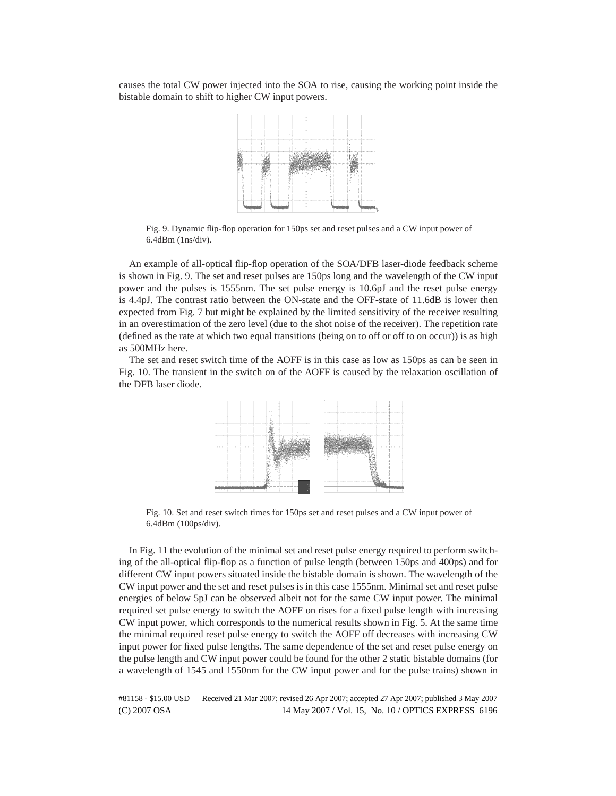causes the total CW power injected into the SOA to rise, causing the working point inside the bistable domain to shift to higher CW input powers.



Fig. 9. Dynamic flip-flop operation for 150ps set and reset pulses and a CW input power of 6.4dBm (1ns/div).

An example of all-optical flip-flop operation of the SOA/DFB laser-diode feedback scheme is shown in Fig. 9. The set and reset pulses are 150ps long and the wavelength of the CW input power and the pulses is 1555nm. The set pulse energy is 10.6pJ and the reset pulse energy is 4.4pJ. The contrast ratio between the ON-state and the OFF-state of 11.6dB is lower then expected from Fig. 7 but might be explained by the limited sensitivity of the receiver resulting in an overestimation of the zero level (due to the shot noise of the receiver). The repetition rate (defined as the rate at which two equal transitions (being on to off or off to on occur)) is as high as 500MHz here.

The set and reset switch time of the AOFF is in this case as low as 150ps as can be seen in Fig. 10. The transient in the switch on of the AOFF is caused by the relaxation oscillation of the DFB laser diode.



Fig. 10. Set and reset switch times for 150ps set and reset pulses and a CW input power of 6.4dBm (100ps/div).

In Fig. 11 the evolution of the minimal set and reset pulse energy required to perform switching of the all-optical flip-flop as a function of pulse length (between 150ps and 400ps) and for different CW input powers situated inside the bistable domain is shown. The wavelength of the CW input power and the set and reset pulses is in this case 1555nm. Minimal set and reset pulse energies of below 5pJ can be observed albeit not for the same CW input power. The minimal required set pulse energy to switch the AOFF on rises for a fixed pulse length with increasing CW input power, which corresponds to the numerical results shown in Fig. 5. At the same time the minimal required reset pulse energy to switch the AOFF off decreases with increasing CW input power for fixed pulse lengths. The same dependence of the set and reset pulse energy on the pulse length and CW input power could be found for the other 2 static bistable domains (for a wavelength of 1545 and 1550nm for the CW input power and for the pulse trains) shown in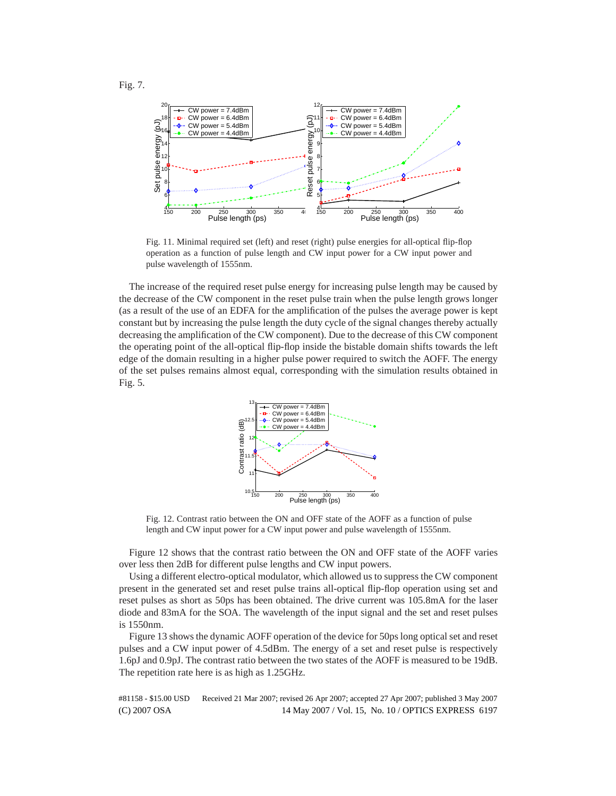

Fig. 11. Minimal required set (left) and reset (right) pulse energies for all-optical flip-flop operation as a function of pulse length and CW input power for a CW input power and pulse wavelength of 1555nm.

The increase of the required reset pulse energy for increasing pulse length may be caused by the decrease of the CW component in the reset pulse train when the pulse length grows longer (as a result of the use of an EDFA for the amplification of the pulses the average power is kept constant but by increasing the pulse length the duty cycle of the signal changes thereby actually decreasing the amplification of the CW component). Due to the decrease of this CW component the operating point of the all-optical flip-flop inside the bistable domain shifts towards the left edge of the domain resulting in a higher pulse power required to switch the AOFF. The energy of the set pulses remains almost equal, corresponding with the simulation results obtained in Fig. 5.



Fig. 12. Contrast ratio between the ON and OFF state of the AOFF as a function of pulse length and CW input power for a CW input power and pulse wavelength of 1555nm.

Figure 12 shows that the contrast ratio between the ON and OFF state of the AOFF varies over less then 2dB for different pulse lengths and CW input powers.

Using a different electro-optical modulator, which allowed us to suppress the CW component present in the generated set and reset pulse trains all-optical flip-flop operation using set and reset pulses as short as 50ps has been obtained. The drive current was 105.8mA for the laser diode and 83mA for the SOA. The wavelength of the input signal and the set and reset pulses is 1550nm.

Figure 13 shows the dynamic AOFF operation of the device for 50ps long optical set and reset pulses and a CW input power of 4.5dBm. The energy of a set and reset pulse is respectively 1.6pJ and 0.9pJ. The contrast ratio between the two states of the AOFF is measured to be 19dB. The repetition rate here is as high as 1.25GHz.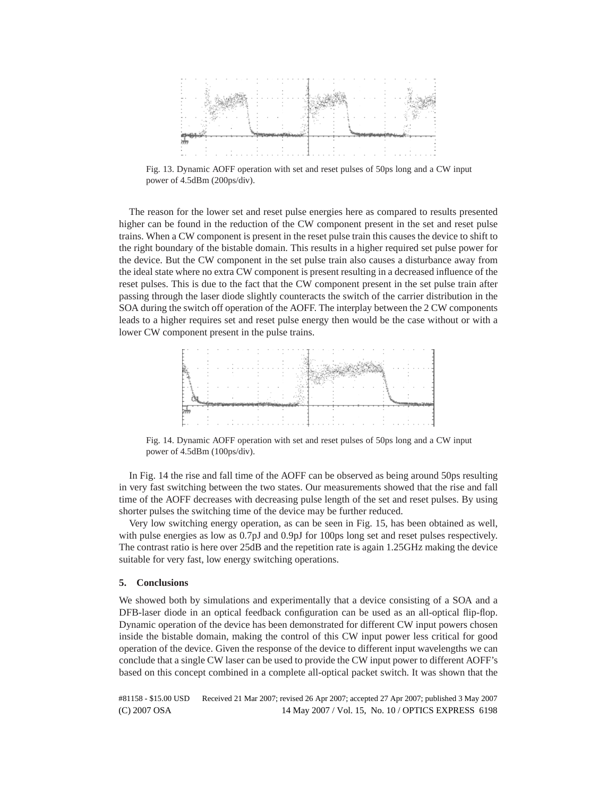

Fig. 13. Dynamic AOFF operation with set and reset pulses of 50ps long and a CW input power of 4.5dBm (200ps/div).

The reason for the lower set and reset pulse energies here as compared to results presented higher can be found in the reduction of the CW component present in the set and reset pulse trains. When a CW component is present in the reset pulse train this causes the device to shift to the right boundary of the bistable domain. This results in a higher required set pulse power for the device. But the CW component in the set pulse train also causes a disturbance away from the ideal state where no extra CW component is present resulting in a decreased influence of the reset pulses. This is due to the fact that the CW component present in the set pulse train after passing through the laser diode slightly counteracts the switch of the carrier distribution in the SOA during the switch off operation of the AOFF. The interplay between the 2 CW components leads to a higher requires set and reset pulse energy then would be the case without or with a lower CW component present in the pulse trains.



Fig. 14. Dynamic AOFF operation with set and reset pulses of 50ps long and a CW input power of 4.5dBm (100ps/div).

In Fig. 14 the rise and fall time of the AOFF can be observed as being around 50ps resulting in very fast switching between the two states. Our measurements showed that the rise and fall time of the AOFF decreases with decreasing pulse length of the set and reset pulses. By using shorter pulses the switching time of the device may be further reduced.

Very low switching energy operation, as can be seen in Fig. 15, has been obtained as well, with pulse energies as low as 0.7pJ and 0.9pJ for 100ps long set and reset pulses respectively. The contrast ratio is here over 25dB and the repetition rate is again 1.25GHz making the device suitable for very fast, low energy switching operations.

# **5. Conclusions**

We showed both by simulations and experimentally that a device consisting of a SOA and a DFB-laser diode in an optical feedback configuration can be used as an all-optical flip-flop. Dynamic operation of the device has been demonstrated for different CW input powers chosen inside the bistable domain, making the control of this CW input power less critical for good operation of the device. Given the response of the device to different input wavelengths we can conclude that a single CW laser can be used to provide the CW input power to different AOFF's based on this concept combined in a complete all-optical packet switch. It was shown that the